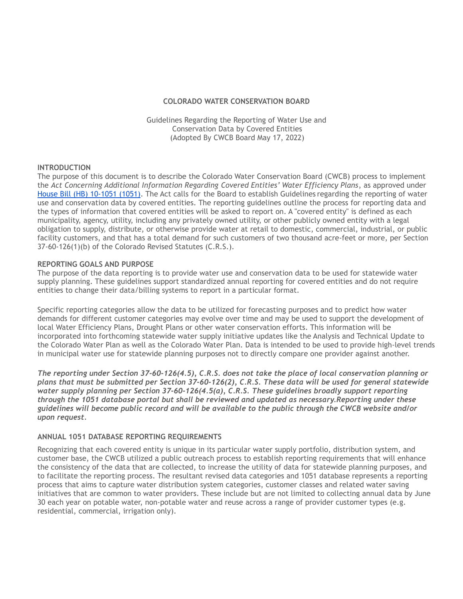## **COLORADO WATER CONSERVATION BOARD**

Guidelines Regarding the Reporting of Water Use and Conservation Data by Covered Entities (Adopted By CWCB Board May 17, 2022)

#### **INTRODUCTION**

The purpose of this document is to describe the Colorado Water Conservation Board (CWCB) process to implement the *Act Concerning Additional Information Regarding Covered Entities' Water Efficiency Plans*, as approved under [House Bill \(HB\) 10-1051 \(1051\).](http://www.leg.state.co.us/CLICS/CLICS2010A/csl.nsf/fsbillcont3/68D1C9003815AB67872576A8002A2E45?Open&file=1051_enr.pdf) The Act calls for the Board to establish Guidelines regarding the reporting of water use and conservation data by covered entities. The reporting guidelines outline the process for reporting data and the types of information that covered entities will be asked to report on. A "covered entity" is defined as each municipality, agency, utility, including any privately owned utility, or other publicly owned entity with a legal obligation to supply, distribute, or otherwise provide water at retail to domestic, commercial, industrial, or public facility customers, and that has a total demand for such customers of two thousand acre-feet or more, per Section 37-60-126(1)(b) of the Colorado Revised Statutes (C.R.S.).

## **REPORTING GOALS AND PURPOSE**

The purpose of the data reporting is to provide water use and conservation data to be used for statewide water supply planning. These guidelines support standardized annual reporting for covered entities and do not require entities to change their data/billing systems to report in a particular format.

Specific reporting categories allow the data to be utilized for forecasting purposes and to predict how water demands for different customer categories may evolve over time and may be used to support the development of local Water Efficiency Plans, Drought Plans or other water conservation efforts. This information will be incorporated into forthcoming statewide water supply initiative updates like the Analysis and Technical Update to the Colorado Water Plan as well as the Colorado Water Plan. Data is intended to be used to provide high-level trends in municipal water use for statewide planning purposes not to directly compare one provider against another.

*The reporting under Section 37-60-126(4.5), C.R.S. does not take the place of local conservation planning or plans that must be submitted per Section 37-60-126(2), C.R.S. These data will be used for general statewide water supply planning per Section 37-60-126(4.5(a), C.R.S. These guidelines broadly support reporting through the 1051 database portal but shall be reviewed and updated as necessary.Reporting under these guidelines will become public record and will be available to the public through the CWCB website and/or upon request.*

## **ANNUAL 1051 DATABASE REPORTING REQUIREMENTS**

Recognizing that each covered entity is unique in its particular water supply portfolio, distribution system, and customer base, the CWCB utilized a public outreach process to establish reporting requirements that will enhance the consistency of the data that are collected, to increase the utility of data for statewide planning purposes, and to facilitate the reporting process. The resultant revised data categories and 1051 database represents a reporting process that aims to capture water distribution system categories, customer classes and related water saving initiatives that are common to water providers. These include but are not limited to collecting annual data by June 30 each year on potable water, non-potable water and reuse across a range of provider customer types (e.g. residential, commercial, irrigation only).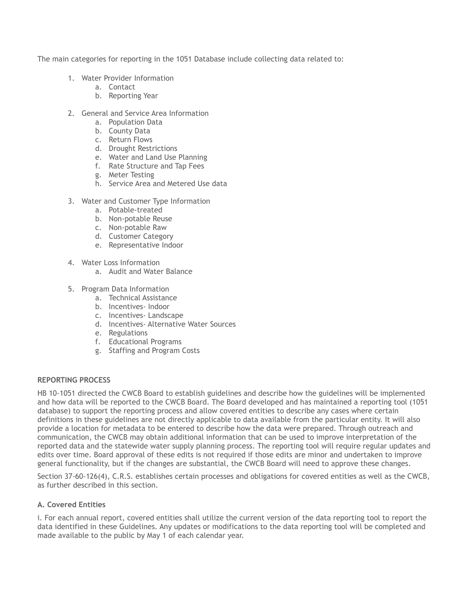The main categories for reporting in the 1051 Database include collecting data related to:

- 1. Water Provider Information
	- a. Contact
	- b. Reporting Year
- 2. General and Service Area Information
	- a. Population Data
	- b. County Data
	- c. Return Flows
	- d. Drought Restrictions
	- e. Water and Land Use Planning
	- f. Rate Structure and Tap Fees
	- g. Meter Testing
	- h. Service Area and Metered Use data
- 3. Water and Customer Type Information
	- a. Potable-treated
	- b. Non-potable Reuse
	- c. Non-potable Raw
	- d. Customer Category
	- e. Representative Indoor
- 4. Water Loss Information
	- a. Audit and Water Balance
- 5. Program Data Information
	- a. Technical Assistance
	- b. Incentives- Indoor
	- c. Incentives- Landscape
	- d. Incentives- Alternative Water Sources
	- e. Regulations
	- f. Educational Programs
	- g. Staffing and Program Costs

# **REPORTING PROCESS**

HB 10-1051 directed the CWCB Board to establish guidelines and describe how the guidelines will be implemented and how data will be reported to the CWCB Board. The Board developed and has maintained a reporting tool (1051 database) to support the reporting process and allow covered entities to describe any cases where certain definitions in these guidelines are not directly applicable to data available from the particular entity. It will also provide a location for metadata to be entered to describe how the data were prepared. Through outreach and communication, the CWCB may obtain additional information that can be used to improve interpretation of the reported data and the statewide water supply planning process. The reporting tool will require regular updates and edits over time. Board approval of these edits is not required if those edits are minor and undertaken to improve general functionality, but if the changes are substantial, the CWCB Board will need to approve these changes.

Section 37-60-126(4), C.R.S. establishes certain processes and obligations for covered entities as well as the CWCB, as further described in this section.

# **A. Covered Entities**

i. For each annual report, covered entities shall utilize the current version of the data reporting tool to report the data identified in these Guidelines. Any updates or modifications to the data reporting tool will be completed and made available to the public by May 1 of each calendar year.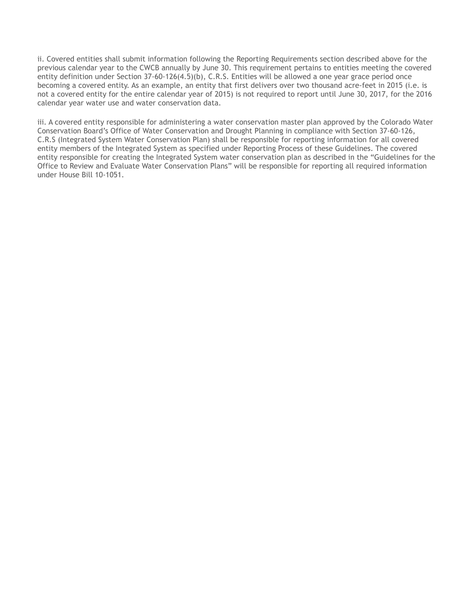ii. Covered entities shall submit information following the Reporting Requirements section described above for the previous calendar year to the CWCB annually by June 30. This requirement pertains to entities meeting the covered entity definition under Section 37-60-126(4.5)(b), C.R.S. Entities will be allowed a one year grace period once becoming a covered entity. As an example, an entity that first delivers over two thousand acre-feet in 2015 (i.e. is not a covered entity for the entire calendar year of 2015) is not required to report until June 30, 2017, for the 2016 calendar year water use and water conservation data.

iii. A covered entity responsible for administering a water conservation master plan approved by the Colorado Water Conservation Board's Office of Water Conservation and Drought Planning in compliance with Section 37-60-126, C.R.S (Integrated System Water Conservation Plan) shall be responsible for reporting information for all covered entity members of the Integrated System as specified under Reporting Process of these Guidelines. The covered entity responsible for creating the Integrated System water conservation plan as described in the "Guidelines for the Office to Review and Evaluate Water Conservation Plans" will be responsible for reporting all required information under House Bill 10-1051.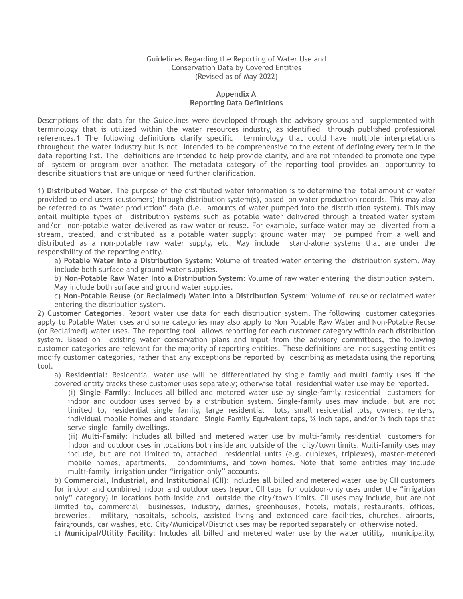#### Guidelines Regarding the Reporting of Water Use and Conservation Data by Covered Entities (Revised as of May 2022)

## **Appendix A Reporting Data Definitions**

Descriptions of the data for the Guidelines were developed through the advisory groups and supplemented with terminology that is utilized within the water resources industry, as identified through published professional references.1 The following definitions clarify specific terminology that could have multiple interpretations throughout the water industry but is not intended to be comprehensive to the extent of defining every term in the data reporting list. The definitions are intended to help provide clarity, and are not intended to promote one type of system or program over another. The metadata category of the reporting tool provides an opportunity to describe situations that are unique or need further clarification.

1) **Distributed Water**. The purpose of the distributed water information is to determine the total amount of water provided to end users (customers) through distribution system(s), based on water production records. This may also be referred to as "water production" data (i.e. amounts of water pumped into the distribution system). This may entail multiple types of distribution systems such as potable water delivered through a treated water system and/or non-potable water delivered as raw water or reuse. For example, surface water may be diverted from a stream, treated, and distributed as a potable water supply; ground water may be pumped from a well and distributed as a non-potable raw water supply, etc. May include stand-alone systems that are under the responsibility of the reporting entity.

a) **Potable Water Into a Distribution System**: Volume of treated water entering the distribution system. May include both surface and ground water supplies.

b) **Non-Potable Raw Water Into a Distribution System**: Volume of raw water entering the distribution system. May include both surface and ground water supplies.

c) **Non-Potable Reuse (or Reclaimed) Water Into a Distribution System**: Volume of reuse or reclaimed water entering the distribution system.

2) **Customer Categories**. Report water use data for each distribution system. The following customer categories apply to Potable Water uses and some categories may also apply to Non Potable Raw Water and Non-Potable Reuse (or Reclaimed) water uses. The reporting tool allows reporting for each customer category within each distribution system. Based on existing water conservation plans and input from the advisory committees, the following customer categories are relevant for the majority of reporting entities. These definitions are not suggesting entities modify customer categories, rather that any exceptions be reported by describing as metadata using the reporting tool.

a) **Residential**: Residential water use will be differentiated by single family and multi family uses if the covered entity tracks these customer uses separately; otherwise total residential water use may be reported.

(i) **Single Family**: Includes all billed and metered water use by single-family residential customers for indoor and outdoor uses served by a distribution system. Single-family uses may include, but are not limited to, residential single family, large residential lots, small residential lots, owners, renters, individual mobile homes and standard Single Family Equivalent taps, % inch taps, and/or ¼ inch taps that serve single family dwellings.

(ii) **Multi-Family**: Includes all billed and metered water use by multi-family residential customers for indoor and outdoor uses in locations both inside and outside of the city/town limits. Multi-family uses may include, but are not limited to, attached residential units (e.g. duplexes, triplexes), master-metered mobile homes, apartments, condominiums, and town homes. Note that some entities may include multi-family irrigation under "irrigation only" accounts.

b) **Commercial, Industrial, and Institutional (CII)**: Includes all billed and metered water use by CII customers for indoor and combined indoor and outdoor uses (report CII taps for outdoor-only uses under the "irrigation only" category) in locations both inside and outside the city/town limits. CII uses may include, but are not limited to, commercial businesses, industry, dairies, greenhouses, hotels, motels, restaurants, offices, breweries, military, hospitals, schools, assisted living and extended care facilities, churches, airports, fairgrounds, car washes, etc. City/Municipal/District uses may be reported separately or otherwise noted.

c) **Municipal/Utility Facility**: Includes all billed and metered water use by the water utility, municipality,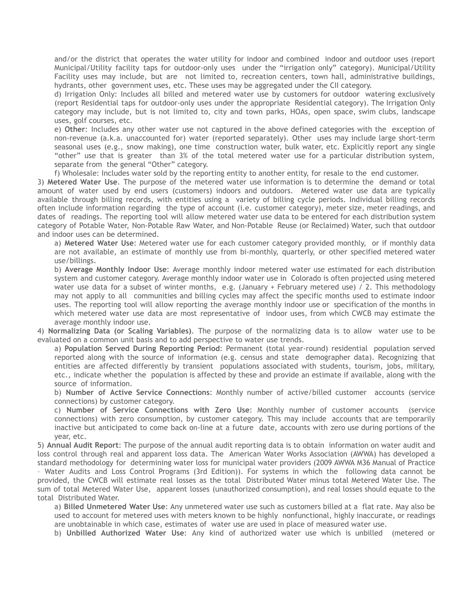and/or the district that operates the water utility for indoor and combined indoor and outdoor uses (report Municipal/Utility facility taps for outdoor-only uses under the "irrigation only" category). Municipal/Utility Facility uses may include, but are not limited to, recreation centers, town hall, administrative buildings, hydrants, other government uses, etc. These uses may be aggregated under the CII category.

d) Irrigation Only: Includes all billed and metered water use by customers for outdoor watering exclusively (report Residential taps for outdoor-only uses under the appropriate Residential category). The Irrigation Only category may include, but is not limited to, city and town parks, HOAs, open space, swim clubs, landscape uses, golf courses, etc.

e) **Other**: Includes any other water use not captured in the above defined categories with the exception of non-revenue (a.k.a. unaccounted for) water (reported separately). Other uses may include large short-term seasonal uses (e.g., snow making), one time construction water, bulk water, etc. Explicitly report any single "other" use that is greater than 3% of the total metered water use for a particular distribution system, separate from the general "Other" category.

f) Wholesale: Includes water sold by the reporting entity to another entity, for resale to the end customer.

3) **Metered Water Use**. The purpose of the metered water use information is to determine the demand or total amount of water used by end users (customers) indoors and outdoors. Metered water use data are typically available through billing records, with entities using a variety of billing cycle periods. Individual billing records often include information regarding the type of account (i.e. customer category), meter size, meter readings, and dates of readings. The reporting tool will allow metered water use data to be entered for each distribution system category of Potable Water, Non-Potable Raw Water, and Non-Potable Reuse (or Reclaimed) Water, such that outdoor and indoor uses can be determined.

a) **Metered Water Use**: Metered water use for each customer category provided monthly, or if monthly data are not available, an estimate of monthly use from bi-monthly, quarterly, or other specified metered water use/billings.

b) **Average Monthly Indoor Use**: Average monthly indoor metered water use estimated for each distribution system and customer category. Average monthly indoor water use in Colorado is often projected using metered water use data for a subset of winter months, e.g. (January + February metered use) / 2. This methodology may not apply to all communities and billing cycles may affect the specific months used to estimate indoor uses. The reporting tool will allow reporting the average monthly indoor use or specification of the months in which metered water use data are most representative of indoor uses, from which CWCB may estimate the average monthly indoor use.

4) **Normalizing Data (or Scaling Variables)**. The purpose of the normalizing data is to allow water use to be evaluated on a common unit basis and to add perspective to water use trends.

a) **Population Served During Reporting Period**: Permanent (total year-round) residential population served reported along with the source of information (e.g. census and state demographer data). Recognizing that entities are affected differently by transient populations associated with students, tourism, jobs, military, etc., indicate whether the population is affected by these and provide an estimate if available, along with the source of information.

b) **Number of Active Service Connections**: Monthly number of active/billed customer accounts (service connections) by customer category.

c) **Number of Service Connections with Zero Use**: Monthly number of customer accounts (service connections) with zero consumption, by customer category. This may include accounts that are temporarily inactive but anticipated to come back on-line at a future date, accounts with zero use during portions of the year, etc.

5) **Annual Audit Report**: The purpose of the annual audit reporting data is to obtain information on water audit and loss control through real and apparent loss data. The American Water Works Association (AWWA) has developed a standard methodology for determining water loss for municipal water providers (2009 AWWA M36 Manual of Practice – Water Audits and Loss Control Programs (3rd Edition)). For systems in which the following data cannot be provided, the CWCB will estimate real losses as the total Distributed Water minus total Metered Water Use. The sum of total Metered Water Use, apparent losses (unauthorized consumption), and real losses should equate to the total Distributed Water.

a) **Billed Unmetered Water Use**: Any unmetered water use such as customers billed at a flat rate. May also be used to account for metered uses with meters known to be highly nonfunctional, highly inaccurate, or readings are unobtainable in which case, estimates of water use are used in place of measured water use.

b) **Unbilled Authorized Water Use**: Any kind of authorized water use which is unbilled (metered or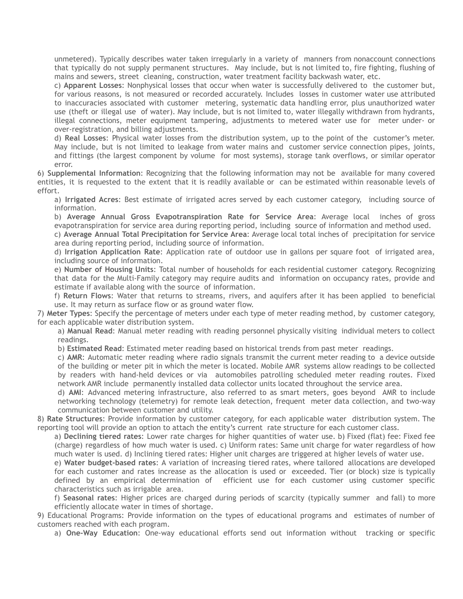unmetered). Typically describes water taken irregularly in a variety of manners from nonaccount connections that typically do not supply permanent structures. May include, but is not limited to, fire fighting, flushing of mains and sewers, street cleaning, construction, water treatment facility backwash water, etc.

c) **Apparent Losses**: Nonphysical losses that occur when water is successfully delivered to the customer but, for various reasons, is not measured or recorded accurately. Includes losses in customer water use attributed to inaccuracies associated with customer metering, systematic data handling error, plus unauthorized water use (theft or illegal use of water). May include, but is not limited to, water illegally withdrawn from hydrants, illegal connections, meter equipment tampering, adjustments to metered water use for meter under- or over-registration, and billing adjustments.

d) **Real Losses**: Physical water losses from the distribution system, up to the point of the customer's meter. May include, but is not limited to leakage from water mains and customer service connection pipes, joints, and fittings (the largest component by volume for most systems), storage tank overflows, or similar operator error.

6) **Supplemental Information**: Recognizing that the following information may not be available for many covered entities, it is requested to the extent that it is readily available or can be estimated within reasonable levels of effort.

a) **Irrigated Acres**: Best estimate of irrigated acres served by each customer category, including source of information.

b) **Average Annual Gross Evapotranspiration Rate for Service Area**: Average local inches of gross evapotranspiration for service area during reporting period, including source of information and method used.

c) **Average Annual Total Precipitation for Service Area**: Average local total inches of precipitation for service area during reporting period, including source of information.

d) **Irrigation Application Rate**: Application rate of outdoor use in gallons per square foot of irrigated area, including source of information.

e) **Number of Housing Units**: Total number of households for each residential customer category. Recognizing that data for the Multi-Family category may require audits and information on occupancy rates, provide and estimate if available along with the source of information.

f) **Return Flows**: Water that returns to streams, rivers, and aquifers after it has been applied to beneficial use. It may return as surface flow or as ground water flow.

7) **Meter Types**: Specify the percentage of meters under each type of meter reading method, by customer category, for each applicable water distribution system.

a) **Manual Read**: Manual meter reading with reading personnel physically visiting individual meters to collect readings.

b) **Estimated Read**: Estimated meter reading based on historical trends from past meter readings.

c) **AMR**: Automatic meter reading where radio signals transmit the current meter reading to a device outside of the building or meter pit in which the meter is located. Mobile AMR systems allow readings to be collected by readers with hand-held devices or via automobiles patrolling scheduled meter reading routes. Fixed network AMR include permanently installed data collector units located throughout the service area.

d) **AMI**: Advanced metering infrastructure, also referred to as smart meters, goes beyond AMR to include networking technology (telemetry) for remote leak detection, frequent meter data collection, and two-way communication between customer and utility.

8) **Rate Structures**: Provide information by customer category, for each applicable water distribution system. The reporting tool will provide an option to attach the entity's current rate structure for each customer class.

a) **Declining tiered rates**: Lower rate charges for higher quantities of water use. b) Fixed (flat) fee: Fixed fee (charge) regardless of how much water is used. c) Uniform rates: Same unit charge for water regardless of how much water is used. d) Inclining tiered rates: Higher unit charges are triggered at higher levels of water use.

e) **Water budget-based rates**: A variation of increasing tiered rates, where tailored allocations are developed for each customer and rates increase as the allocation is used or exceeded. Tier (or block) size is typically defined by an empirical determination of efficient use for each customer using customer specific characteristics such as irrigable area.

f) **Seasonal rates**: Higher prices are charged during periods of scarcity (typically summer and fall) to more efficiently allocate water in times of shortage.

9) Educational Programs: Provide information on the types of educational programs and estimates of number of customers reached with each program.

a) **One-Way Education**: One-way educational efforts send out information without tracking or specific